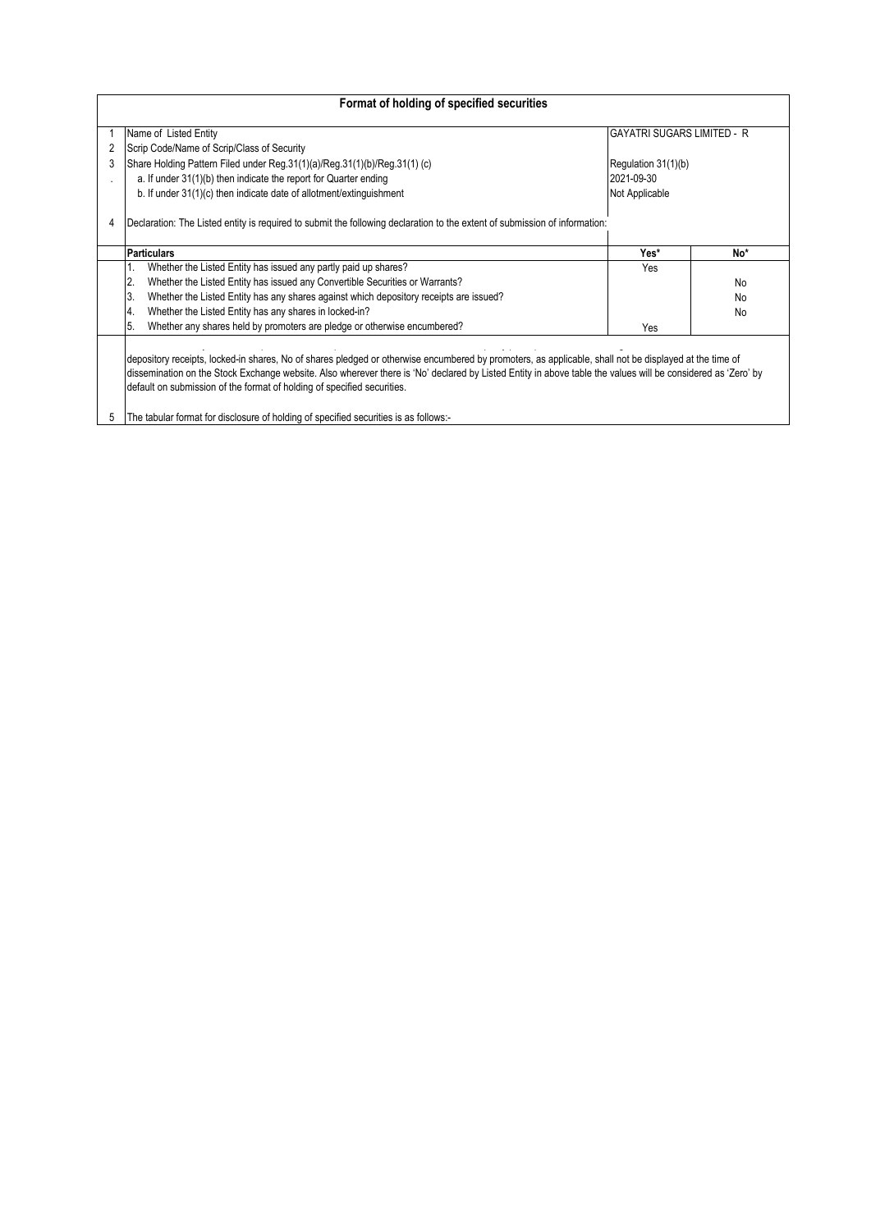| Format of holding of specified securities                                                                                                                                                                                                                                                                                                                                                                                                                                                      |                                                                                                                            |                             |           |  |  |  |  |  |  |  |  |
|------------------------------------------------------------------------------------------------------------------------------------------------------------------------------------------------------------------------------------------------------------------------------------------------------------------------------------------------------------------------------------------------------------------------------------------------------------------------------------------------|----------------------------------------------------------------------------------------------------------------------------|-----------------------------|-----------|--|--|--|--|--|--|--|--|
|                                                                                                                                                                                                                                                                                                                                                                                                                                                                                                | Name of Listed Entity                                                                                                      | IGAYATRI SUGARS LIMITED - R |           |  |  |  |  |  |  |  |  |
|                                                                                                                                                                                                                                                                                                                                                                                                                                                                                                | Scrip Code/Name of Scrip/Class of Security                                                                                 |                             |           |  |  |  |  |  |  |  |  |
|                                                                                                                                                                                                                                                                                                                                                                                                                                                                                                | Share Holding Pattern Filed under Reg. 31(1)(a)/Reg. 31(1)(b)/Reg. 31(1) (c)                                               | Regulation 31(1)(b)         |           |  |  |  |  |  |  |  |  |
|                                                                                                                                                                                                                                                                                                                                                                                                                                                                                                | a. If under 31(1)(b) then indicate the report for Quarter ending                                                           | 2021-09-30                  |           |  |  |  |  |  |  |  |  |
|                                                                                                                                                                                                                                                                                                                                                                                                                                                                                                | b. If under 31(1)(c) then indicate date of allotment/extinguishment                                                        | Not Applicable              |           |  |  |  |  |  |  |  |  |
|                                                                                                                                                                                                                                                                                                                                                                                                                                                                                                | Declaration: The Listed entity is required to submit the following declaration to the extent of submission of information: |                             |           |  |  |  |  |  |  |  |  |
|                                                                                                                                                                                                                                                                                                                                                                                                                                                                                                | <b>Particulars</b>                                                                                                         | Yes*                        | No*       |  |  |  |  |  |  |  |  |
|                                                                                                                                                                                                                                                                                                                                                                                                                                                                                                | Whether the Listed Entity has issued any partly paid up shares?                                                            | <b>Yes</b>                  |           |  |  |  |  |  |  |  |  |
|                                                                                                                                                                                                                                                                                                                                                                                                                                                                                                | Whether the Listed Entity has issued any Convertible Securities or Warrants?<br>2.                                         |                             | <b>No</b> |  |  |  |  |  |  |  |  |
|                                                                                                                                                                                                                                                                                                                                                                                                                                                                                                | 3.<br>Whether the Listed Entity has any shares against which depository receipts are issued?                               |                             | <b>No</b> |  |  |  |  |  |  |  |  |
|                                                                                                                                                                                                                                                                                                                                                                                                                                                                                                | Whether the Listed Entity has any shares in locked-in?<br>4.                                                               |                             | <b>No</b> |  |  |  |  |  |  |  |  |
|                                                                                                                                                                                                                                                                                                                                                                                                                                                                                                | Whether any shares held by promoters are pledge or otherwise encumbered?<br>5.                                             | Yes                         |           |  |  |  |  |  |  |  |  |
| depository receipts, locked-in shares, No of shares pledged or otherwise encumbered by promoters, as applicable, shall not be displayed at the time of<br>dissemination on the Stock Exchange website. Also wherever there is 'No' declared by Listed Entity in above table the values will be considered as 'Zero' by<br>default on submission of the format of holding of specified securities.<br>The tabular format for disclosure of holding of specified securities is as follows:-<br>5 |                                                                                                                            |                             |           |  |  |  |  |  |  |  |  |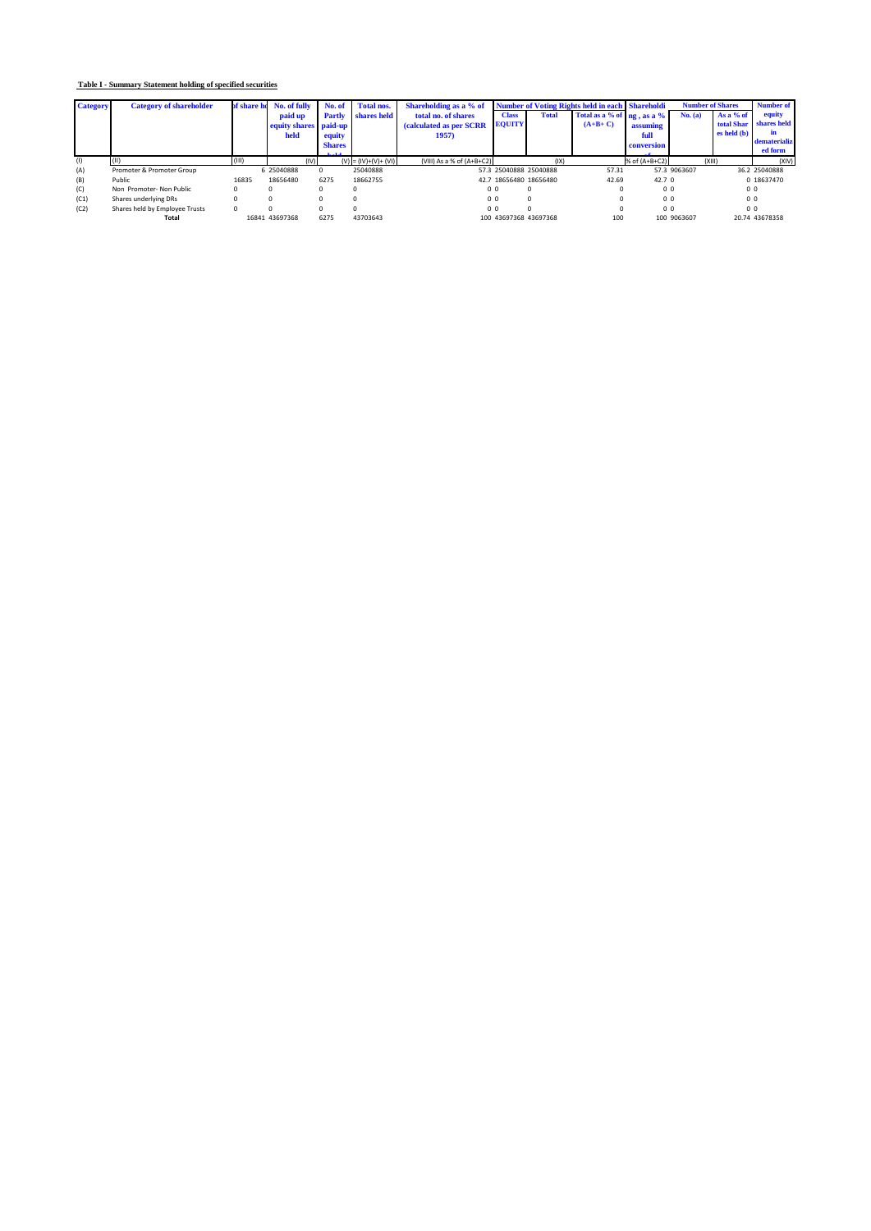## **Table I - Summary Statement holding of specified securities**

| <b>Category</b> | <b>Category of shareholder</b> | of share ho | No. of fully          | No. of        | <b>Total nos.</b>     | Shareholding as a % of      | <b>Number of Voting Rights held in each Shareholdi</b> |              |                            | <b>Number of Shares</b> |              | <b>Number of</b> |                        |
|-----------------|--------------------------------|-------------|-----------------------|---------------|-----------------------|-----------------------------|--------------------------------------------------------|--------------|----------------------------|-------------------------|--------------|------------------|------------------------|
|                 |                                |             | paid up               | Partly        | shares held           | total no. of shares         | <b>Class</b>                                           | <b>Total</b> | Total as a % of ng, as a % |                         | No. (a)      | As a % of        | equity                 |
|                 |                                |             | equity shares paid-up |               |                       | (calculated as per SCRR     | <b>EQUITY</b>                                          |              | $(A+B+C)$                  | assuming                |              |                  | total Shar shares held |
|                 |                                |             | held                  | equity        |                       | 1957)                       |                                                        |              |                            | full                    |              | es held (b)      | in                     |
|                 |                                |             |                       | <b>Shares</b> |                       |                             |                                                        |              |                            | <b>conversion</b>       |              |                  | dematerializ           |
|                 |                                |             |                       | 1.111         |                       |                             |                                                        |              |                            |                         |              |                  | ed form                |
| (1)             |                                | (III)       | (IV)                  |               | $(V) = (IV)+(V)+(VI)$ | (VIII) As a % of $(A+B+C2)$ |                                                        | (IX)         |                            | % of (A+B+C2)           | (XIII)       |                  | (XIV)                  |
| (A)             | Promoter & Promoter Group      |             | 6 25040888            | $\Omega$      | 25040888              |                             | 57.3 25040888 25040888                                 |              | 57.31                      |                         | 57.3 9063607 |                  | 36.2 25040888          |
| (B)             | Public                         | 16835       | 18656480              | 6275          | 18662755              |                             | 42.7 18656480 18656480                                 |              | 42.69                      | 42.7 <sup>0</sup>       |              |                  | 0 18637470             |
| (C)             | Non Promoter- Non Public       |             |                       |               |                       |                             | 0 <sub>0</sub>                                         |              |                            | 0 <sub>0</sub>          |              |                  | 0 <sub>0</sub>         |
| (C1)            | Shares underlying DRs          |             |                       |               |                       |                             | 0 <sub>0</sub>                                         |              |                            | 0 <sub>0</sub>          |              | 0 <sub>0</sub>   |                        |
| (C2)            | Shares held by Employee Trusts |             |                       |               |                       |                             | 0 <sub>0</sub>                                         |              |                            | 0 <sub>0</sub>          |              | 0 <sub>0</sub>   |                        |
|                 | Total                          |             | 16841 43697368        | 6275          | 43703643              |                             | 100 43697368 43697368                                  |              | 100                        |                         | 100 9063607  |                  | 20.74 43678358         |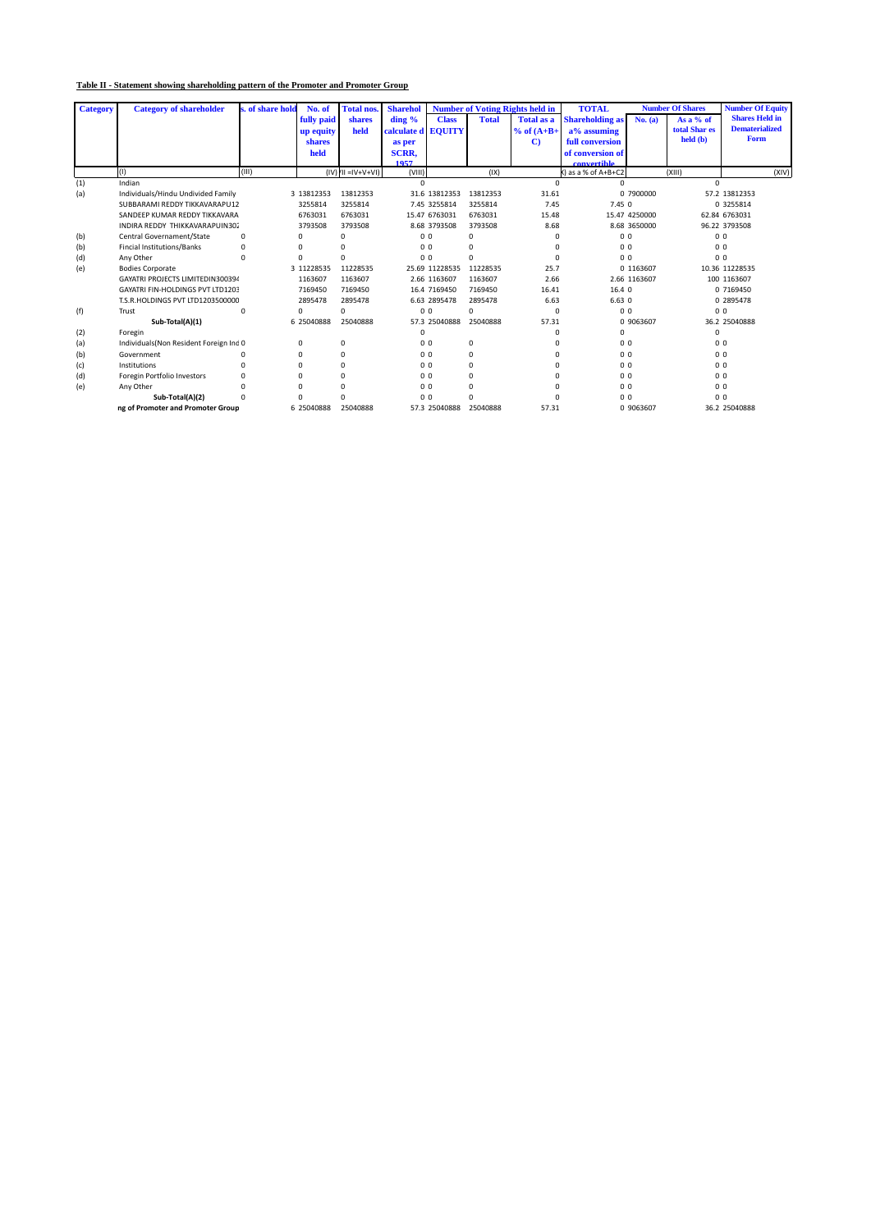## **Table II - Statement showing shareholding pattern of the Promoter and Promoter Group**

| <b>Category</b> | <b>Category of shareholder</b>         | s. of share hold | No. of     | <b>Total nos</b>            | <b>Sharehol</b>    | <b>Number of Voting Rights held in</b> |              | <b>TOTAL</b><br><b>Number Of Shares</b> |                        |               | <b>Number Of Equity</b>   |                       |
|-----------------|----------------------------------------|------------------|------------|-----------------------------|--------------------|----------------------------------------|--------------|-----------------------------------------|------------------------|---------------|---------------------------|-----------------------|
|                 |                                        |                  | fully paid | shares                      | $\dim g$ %         | <b>Class</b>                           | <b>Total</b> | <b>Total as a</b>                       | <b>Shareholding as</b> | No. (a)       | As a $%$ of               | <b>Shares Held in</b> |
|                 |                                        |                  | up equity  | held                        | calculate d EQUITY |                                        |              | $%$ of $(A+B+$                          | a% assuming            |               | total Shar es             | <b>Dematerialized</b> |
|                 |                                        |                  | shares     |                             | as per             |                                        |              | $\mathbf{C}$                            | full conversion        |               | $\text{held}(\textbf{b})$ | Form                  |
|                 |                                        |                  | held       |                             | <b>SCRR.</b>       |                                        |              |                                         | of conversion of       |               |                           |                       |
|                 |                                        |                  |            |                             | 1057               |                                        |              |                                         | convertible            |               |                           |                       |
|                 | (1)                                    | (III)            |            | $(IV)$ $(IV = IV + V + VI)$ | (VIII)             |                                        | (IX)         |                                         | () as a % of A+B+C2    |               | (X  1)                    | (XIV)                 |
| (1)             | Indian                                 |                  |            |                             | $\Omega$           |                                        |              | $\Omega$                                | U                      |               | U                         |                       |
| (a)             | Individuals/Hindu Undivided Family     |                  | 3 13812353 | 13812353                    |                    | 31.6 13812353                          | 13812353     | 31.61                                   |                        | 0 7900000     |                           | 57.2 13812353         |
|                 | SUBBARAMI REDDY TIKKAVARAPU12          |                  | 3255814    | 3255814                     |                    | 7.45 3255814                           | 3255814      | 7.45                                    | 7.45 0                 |               |                           | 0 3255814             |
|                 | SANDEEP KUMAR REDDY TIKKAVARA          |                  | 6763031    | 6763031                     |                    | 15.47 6763031                          | 6763031      | 15.48                                   |                        | 15.47 4250000 |                           | 62.84 6763031         |
|                 | INDIRA REDDY THIKKAVARAPUIN302         |                  | 3793508    | 3793508                     |                    | 8.68 3793508                           | 3793508      | 8.68                                    |                        | 8.68 3650000  |                           | 96.22 3793508         |
| (b)             | Central Governament/State              | 0                | $\Omega$   | $\Omega$                    |                    | 0 <sub>0</sub>                         | $\Omega$     | $\Omega$                                | 0 <sub>0</sub>         |               | 0 <sub>0</sub>            |                       |
| (b)             | <b>Fincial Institutions/Banks</b>      | 0                | $\Omega$   |                             |                    | 0 <sub>0</sub>                         | $\Omega$     | $\Omega$                                | 0 <sub>0</sub>         |               | 0 <sub>0</sub>            |                       |
| (d)             | Any Other                              | $\Omega$         | $\Omega$   | $\Omega$                    |                    | 0 <sub>0</sub>                         | $\Omega$     | $\Omega$                                | 0 <sub>0</sub>         |               | 0 <sub>0</sub>            |                       |
| (e)             | <b>Bodies Corporate</b>                |                  | 3 11228535 | 11228535                    |                    | 25.69 11228535                         | 11228535     | 25.7                                    |                        | 0 1163607     |                           | 10.36 11228535        |
|                 | GAYATRI PROJECTS LIMITEDIN300394       |                  | 1163607    | 1163607                     |                    | 2.66 1163607                           | 1163607      | 2.66                                    |                        | 2.66 1163607  |                           | 100 1163607           |
|                 | GAYATRI FIN-HOLDINGS PVT LTD1203       |                  | 7169450    | 7169450                     |                    | 16.4 7169450                           | 7169450      | 16.41                                   | 16.4 0                 |               |                           | 0 7169450             |
|                 | T.S.R.HOLDINGS PVT LTD1203500000       |                  | 2895478    | 2895478                     |                    | 6.63 2895478                           | 2895478      | 6.63                                    | 6.630                  |               |                           | 0 2895478             |
| (f)             | Trust                                  | $\Omega$         | $\Omega$   | $\Omega$                    |                    | 0 <sub>0</sub>                         | O            | 0                                       | 0 <sub>0</sub>         |               | 0 <sub>0</sub>            |                       |
|                 | Sub-Total(A)(1)                        |                  | 6 25040888 | 25040888                    |                    | 57.3 25040888                          | 25040888     | 57.31                                   |                        | 0 9063607     |                           | 36.2 25040888         |
| (2)             | Foregin                                |                  |            |                             |                    |                                        |              | $\Omega$                                | 0                      |               | 0                         |                       |
| (a)             | Individuals(Non Resident Foreign Ind 0 |                  | $\Omega$   | 0                           |                    | 0 <sub>0</sub>                         | $\Omega$     |                                         | 0 <sub>0</sub>         |               | 0 <sub>0</sub>            |                       |
| (b)             | Government                             |                  | $\Omega$   | $\Omega$                    |                    | 0 <sub>0</sub>                         | $\Omega$     |                                         | 0 <sub>0</sub>         |               | 0 <sub>0</sub>            |                       |
| (c)             | Institutions                           |                  | n          | $\Omega$                    |                    | 0 <sub>0</sub>                         | $\Omega$     |                                         | 0 <sub>0</sub>         |               | 0 <sub>0</sub>            |                       |
| (d)             | Foregin Portfolio Investors            |                  |            | $\Omega$                    |                    | 0 <sub>0</sub>                         | $\Omega$     |                                         | 0 <sub>0</sub>         |               | 0 <sub>0</sub>            |                       |
| (e)             | Any Other                              |                  |            | $\Omega$                    |                    | 0 <sub>0</sub>                         | $\Omega$     |                                         | 0 <sub>0</sub>         |               | 0 <sub>0</sub>            |                       |
|                 | Sub-Total(A)(2)                        |                  |            | $\Omega$                    |                    | 0 <sub>0</sub>                         |              |                                         | 0 <sub>0</sub>         |               | 0 <sub>0</sub>            |                       |
|                 | ng of Promoter and Promoter Group      |                  | 6 25040888 | 25040888                    |                    | 57.3 25040888                          | 25040888     | 57.31                                   |                        | 0 9063607     |                           | 36.2 25040888         |